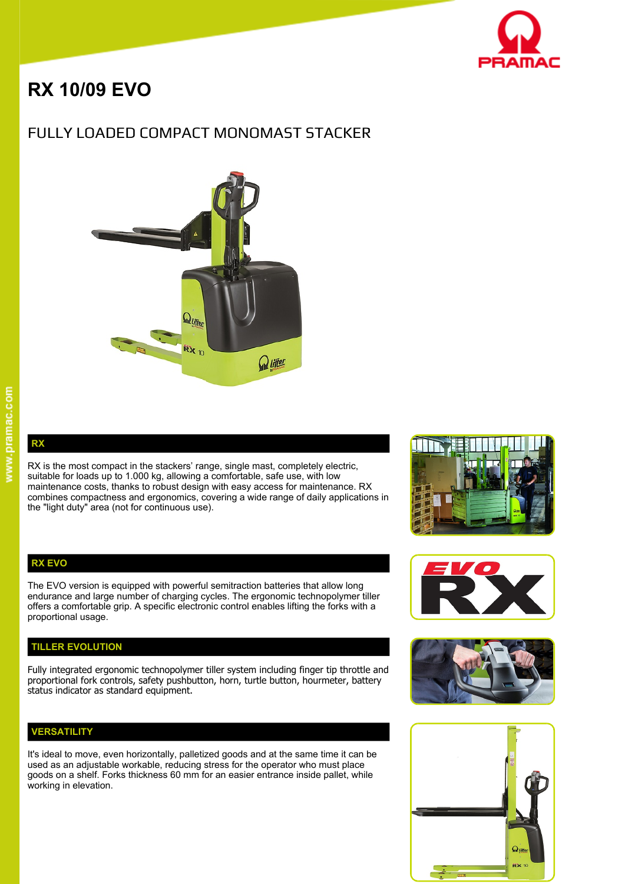

# **RX 10/09 EVO**

# FULLY LOADED COMPACT MONOMAST STACKER



**RX** 

RX is the most compact in the stackers' range, single mast, completely electric, suitable for loads up to 1.000 kg, allowing a comfortable, safe use, with low maintenance costs, thanks to robust design with easy access for maintenance. RX combines compactness and ergonomics, covering a wide range of daily applications in the "light duty" area (not for continuous use).

#### **RX EVO**

The EVO version is equipped with powerful semitraction batteries that allow long endurance and large number of charging cycles. The ergonomic technopolymer tiller offers a comfortable grip. A specific electronic control enables lifting the forks with a proportional usage.

#### **TILLER EVOLUTION**

Fully integrated ergonomic technopolymer tiller system including finger tip throttle and proportional fork controls, safety pushbutton, horn, turtle button, hourmeter, battery status indicator as standard equipment.

#### **VERSATILITY**

It's ideal to move, even horizontally, palletized goods and at the same time it can be used as an adjustable workable, reducing stress for the operator who must place goods on a shelf. Forks thickness 60 mm for an easier entrance inside pallet, while working in elevation.







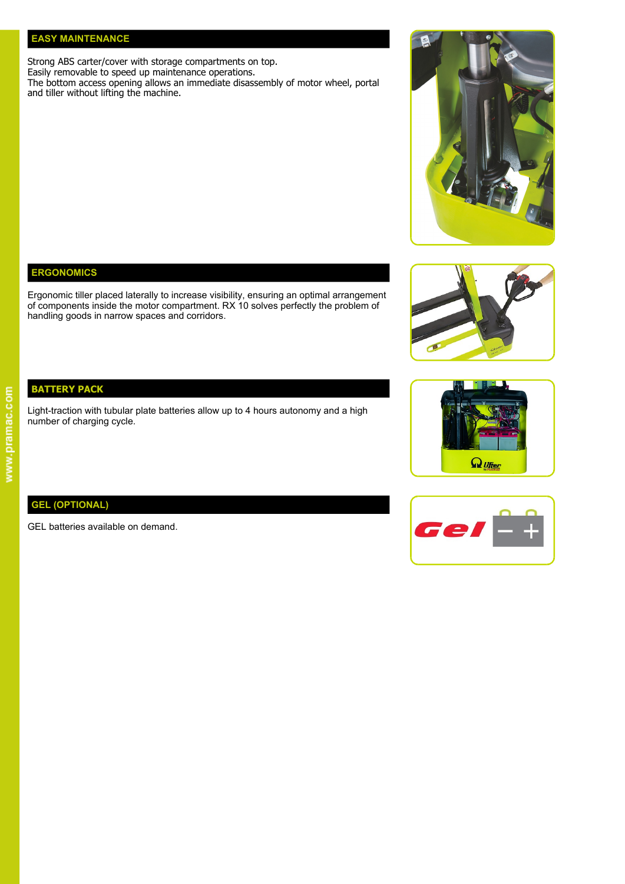#### **EASY MAINTENANCE**

Strong ABS carter/cover with storage compartments on top. Easily removable to speed up maintenance operations.

The bottom access opening allows an immediate disassembly of motor wheel, portal and tiller without lifting the machine.

### **ERGONOMICS**

Ergonomic tiller placed laterally to increase visibility, ensuring an optimal arrangement of components inside the motor compartment. RX 10 solves perfectly the problem of handling goods in narrow spaces and corridors.



# **BATTERY PACK**

Light-traction with tubular plate batteries allow up to 4 hours autonomy and a high number of charging cycle.

## **GEL (OPTIONAL)**

GEL batteries available on demand.



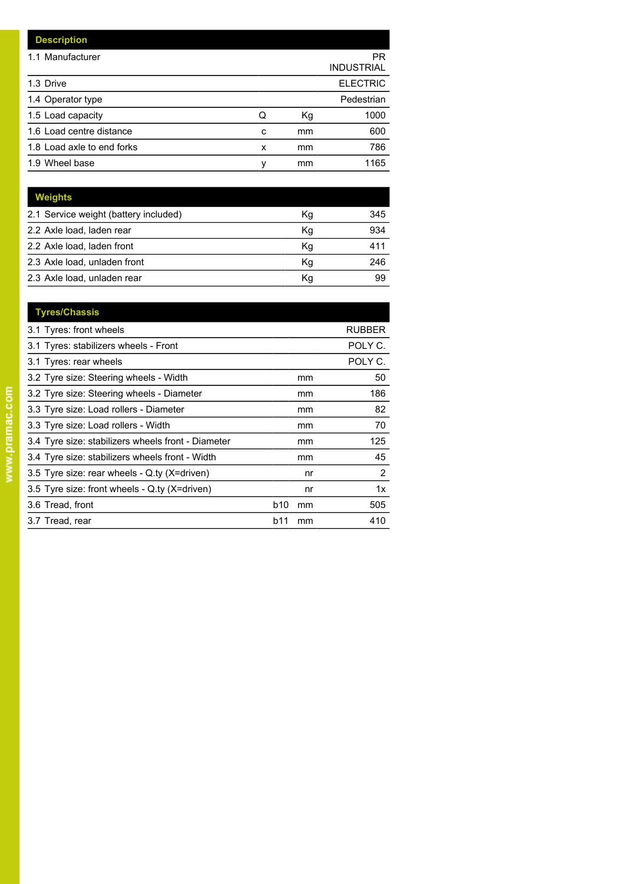| <b>Description</b>         |   |    |                         |
|----------------------------|---|----|-------------------------|
| 1.1 Manufacturer           |   |    | PR<br><b>INDUSTRIAL</b> |
| 1.3 Drive                  |   |    | <b>ELECTRIC</b>         |
| 1.4 Operator type          |   |    | Pedestrian              |
| 1.5 Load capacity          | Q | Кg | 1000                    |
| 1.6 Load centre distance   | c | mm | 600                     |
| 1.8 Load axle to end forks | x | mm | 786                     |
| 1.9 Wheel base             | ٧ | mm | 1165                    |

| Weights                               |    |     |
|---------------------------------------|----|-----|
| 2.1 Service weight (battery included) | Κg | 345 |
| 2.2 Axle load, laden rear             | Κq | 934 |
| 2.2 Axle load, laden front            | Kg | 411 |
| 2.3 Axle load, unladen front          | Кq | 246 |
| 2.3 Axle load, unladen rear           | Κq | 99  |

| <b>Tyres/Chassis</b>                               |     |    |                       |
|----------------------------------------------------|-----|----|-----------------------|
| 3.1 Tyres: front wheels                            |     |    | <b>RUBBER</b>         |
| 3.1 Tyres: stabilizers wheels - Front              |     |    | POLY C.               |
| 3.1 Tyres: rear wheels                             |     |    | POLY C.               |
| 3.2 Tyre size: Steering wheels - Width             |     | mm | 50                    |
| 3.2 Tyre size: Steering wheels - Diameter          |     | mm | 186                   |
| 3.3 Tyre size: Load rollers - Diameter             |     | mm | 82                    |
| 3.3 Tyre size: Load rollers - Width                |     | mm | 70                    |
| 3.4 Tyre size: stabilizers wheels front - Diameter |     | mm | 125                   |
| 3.4 Tyre size: stabilizers wheels front - Width    |     | mm | 45                    |
| 3.5 Tyre size: rear wheels - Q.ty (X=driven)       |     | nr | $\mathbf{2}^{\prime}$ |
| 3.5 Tyre size: front wheels - Q.ty (X=driven)      |     | nr | 1x                    |
| 3.6 Tread, front                                   | b10 | mm | 505                   |
| 3.7 Tread, rear                                    | b11 | mm | 410                   |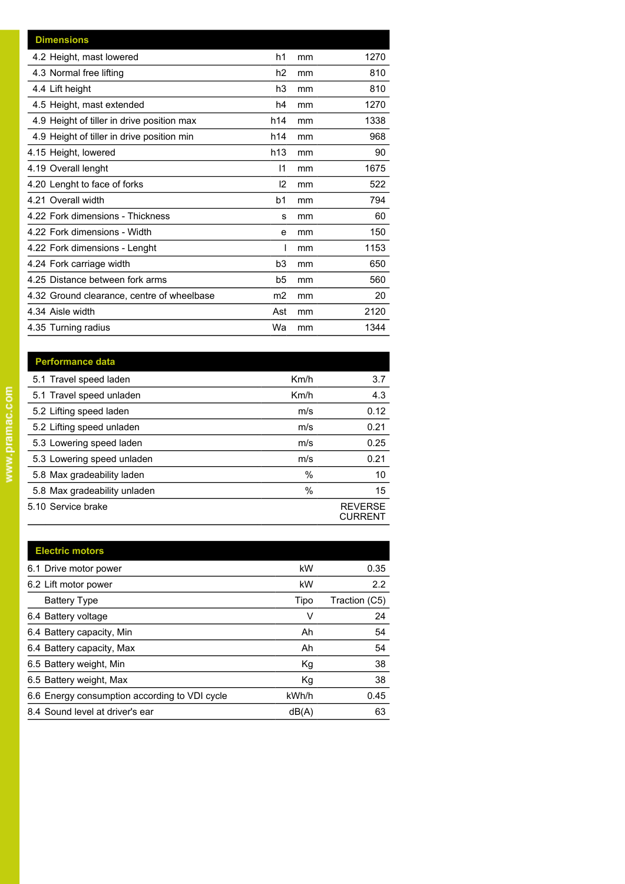| <b>Dimensions</b>                          |                |    |      |
|--------------------------------------------|----------------|----|------|
| 4.2 Height, mast lowered                   | h1             | mm | 1270 |
| 4.3 Normal free lifting                    | h2             | mm | 810  |
| 4.4 Lift height                            | h3             | mm | 810  |
| 4.5 Height, mast extended                  | h4             | mm | 1270 |
| 4.9 Height of tiller in drive position max | h14            | mm | 1338 |
| 4.9 Height of tiller in drive position min | h14            | mm | 968  |
| 4.15 Height, lowered                       | h13            | mm | 90   |
| 4.19 Overall lenght                        | $\mathsf{I}$   | mm | 1675 |
| 4.20 Lenght to face of forks               | 12             | mm | 522  |
| 4.21 Overall width                         | b1             | mm | 794  |
| 4.22 Fork dimensions - Thickness           | s              | mm | 60   |
| 4.22 Fork dimensions - Width               | e              | mm | 150  |
| 4.22 Fork dimensions - Lenght              |                | mm | 1153 |
| 4.24 Fork carriage width                   | b <sub>3</sub> | mm | 650  |
| 4.25 Distance between fork arms            | b5             | mm | 560  |
| 4.32 Ground clearance, centre of wheelbase | m2             | mm | 20   |
| 4.34 Aisle width                           | Ast            | mm | 2120 |
| 4.35 Turning radius                        | Wa             | mm | 1344 |

| <b>Performance data</b>      |      |                                  |
|------------------------------|------|----------------------------------|
| 5.1 Travel speed laden       | Km/h | 3.7                              |
| 5.1 Travel speed unladen     | Km/h | 4.3                              |
| 5.2 Lifting speed laden      | m/s  | 0.12                             |
| 5.2 Lifting speed unladen    | m/s  | 0.21                             |
| 5.3 Lowering speed laden     | m/s  | 0.25                             |
| 5.3 Lowering speed unladen   | m/s  | 0.21                             |
| 5.8 Max gradeability laden   | $\%$ | 10                               |
| 5.8 Max gradeability unladen | $\%$ | 15                               |
| 5.10 Service brake           |      | <b>REVERSE</b><br><b>CURRENT</b> |

| <b>Electric motors</b>                        |       |               |
|-----------------------------------------------|-------|---------------|
| 6.1 Drive motor power                         | kW    | 0.35          |
| 6.2 Lift motor power                          | kW    | 2.2           |
| <b>Battery Type</b>                           | Tipo  | Traction (C5) |
| 6.4 Battery voltage                           | ٧     | 24            |
| 6.4 Battery capacity, Min                     | Ah    | 54            |
| 6.4 Battery capacity, Max                     | Ah    | 54            |
| 6.5 Battery weight, Min                       | Kg    | 38            |
| 6.5 Battery weight, Max                       | Kg    | 38            |
| 6.6 Energy consumption according to VDI cycle | kWh/h | 0.45          |
| 8.4 Sound level at driver's ear               | dB(A) | 63            |
|                                               |       |               |